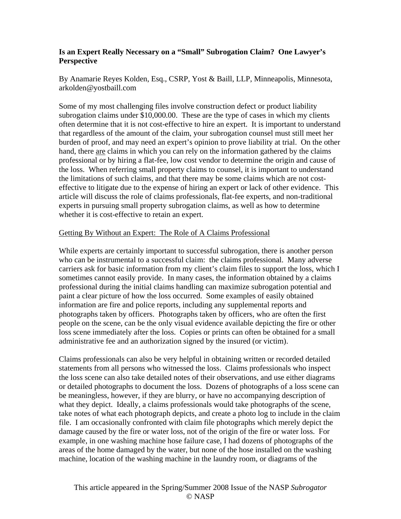# **Is an Expert Really Necessary on a "Small" Subrogation Claim? One Lawyer's Perspective**

By Anamarie Reyes Kolden, Esq., CSRP, Yost & Baill, LLP, Minneapolis, Minnesota, arkolden@yostbaill.com

Some of my most challenging files involve construction defect or product liability subrogation claims under \$10,000.00. These are the type of cases in which my clients often determine that it is not cost-effective to hire an expert. It is important to understand that regardless of the amount of the claim, your subrogation counsel must still meet her burden of proof, and may need an expert's opinion to prove liability at trial. On the other hand, there are claims in which you can rely on the information gathered by the claims professional or by hiring a flat-fee, low cost vendor to determine the origin and cause of the loss. When referring small property claims to counsel, it is important to understand the limitations of such claims, and that there may be some claims which are not costeffective to litigate due to the expense of hiring an expert or lack of other evidence. This article will discuss the role of claims professionals, flat-fee experts, and non-traditional experts in pursuing small property subrogation claims, as well as how to determine whether it is cost-effective to retain an expert.

## Getting By Without an Expert: The Role of A Claims Professional

While experts are certainly important to successful subrogation, there is another person who can be instrumental to a successful claim: the claims professional. Many adverse carriers ask for basic information from my client's claim files to support the loss, which I sometimes cannot easily provide. In many cases, the information obtained by a claims professional during the initial claims handling can maximize subrogation potential and paint a clear picture of how the loss occurred. Some examples of easily obtained information are fire and police reports, including any supplemental reports and photographs taken by officers. Photographs taken by officers, who are often the first people on the scene, can be the only visual evidence available depicting the fire or other loss scene immediately after the loss. Copies or prints can often be obtained for a small administrative fee and an authorization signed by the insured (or victim).

Claims professionals can also be very helpful in obtaining written or recorded detailed statements from all persons who witnessed the loss. Claims professionals who inspect the loss scene can also take detailed notes of their observations, and use either diagrams or detailed photographs to document the loss. Dozens of photographs of a loss scene can be meaningless, however, if they are blurry, or have no accompanying description of what they depict. Ideally, a claims professionals would take photographs of the scene, take notes of what each photograph depicts, and create a photo log to include in the claim file. I am occasionally confronted with claim file photographs which merely depict the damage caused by the fire or water loss, not of the origin of the fire or water loss. For example, in one washing machine hose failure case, I had dozens of photographs of the areas of the home damaged by the water, but none of the hose installed on the washing machine, location of the washing machine in the laundry room, or diagrams of the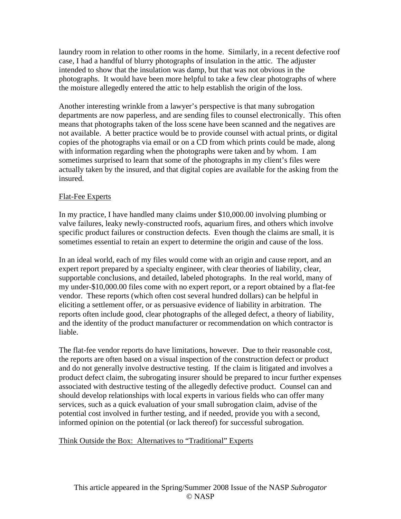laundry room in relation to other rooms in the home. Similarly, in a recent defective roof case, I had a handful of blurry photographs of insulation in the attic. The adjuster intended to show that the insulation was damp, but that was not obvious in the photographs. It would have been more helpful to take a few clear photographs of where the moisture allegedly entered the attic to help establish the origin of the loss.

Another interesting wrinkle from a lawyer's perspective is that many subrogation departments are now paperless, and are sending files to counsel electronically. This often means that photographs taken of the loss scene have been scanned and the negatives are not available. A better practice would be to provide counsel with actual prints, or digital copies of the photographs via email or on a CD from which prints could be made, along with information regarding when the photographs were taken and by whom. I am sometimes surprised to learn that some of the photographs in my client's files were actually taken by the insured, and that digital copies are available for the asking from the insured.

# Flat-Fee Experts

In my practice, I have handled many claims under \$10,000.00 involving plumbing or valve failures, leaky newly-constructed roofs, aquarium fires, and others which involve specific product failures or construction defects. Even though the claims are small, it is sometimes essential to retain an expert to determine the origin and cause of the loss.

In an ideal world, each of my files would come with an origin and cause report, and an expert report prepared by a specialty engineer, with clear theories of liability, clear, supportable conclusions, and detailed, labeled photographs. In the real world, many of my under-\$10,000.00 files come with no expert report, or a report obtained by a flat-fee vendor. These reports (which often cost several hundred dollars) can be helpful in eliciting a settlement offer, or as persuasive evidence of liability in arbitration. The reports often include good, clear photographs of the alleged defect, a theory of liability, and the identity of the product manufacturer or recommendation on which contractor is liable.

The flat-fee vendor reports do have limitations, however. Due to their reasonable cost, the reports are often based on a visual inspection of the construction defect or product and do not generally involve destructive testing. If the claim is litigated and involves a product defect claim, the subrogating insurer should be prepared to incur further expenses associated with destructive testing of the allegedly defective product. Counsel can and should develop relationships with local experts in various fields who can offer many services, such as a quick evaluation of your small subrogation claim, advise of the potential cost involved in further testing, and if needed, provide you with a second, informed opinion on the potential (or lack thereof) for successful subrogation.

# Think Outside the Box: Alternatives to "Traditional" Experts